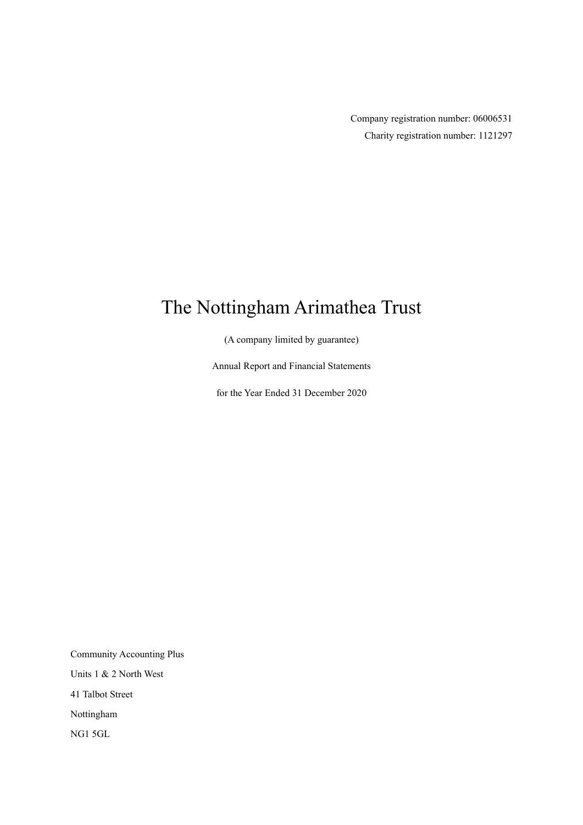Company registration number: 06006531 Charity registration number: 1121297

## The Nottingham Arimathea Trust

(A company limited by guarantee)

Annual Report and Financial Statements

for the Year Ended 31 December 2020

Community Accounting Plus Units 1 & 2 North West 41 Talbot Street Nottingham NG1 5GL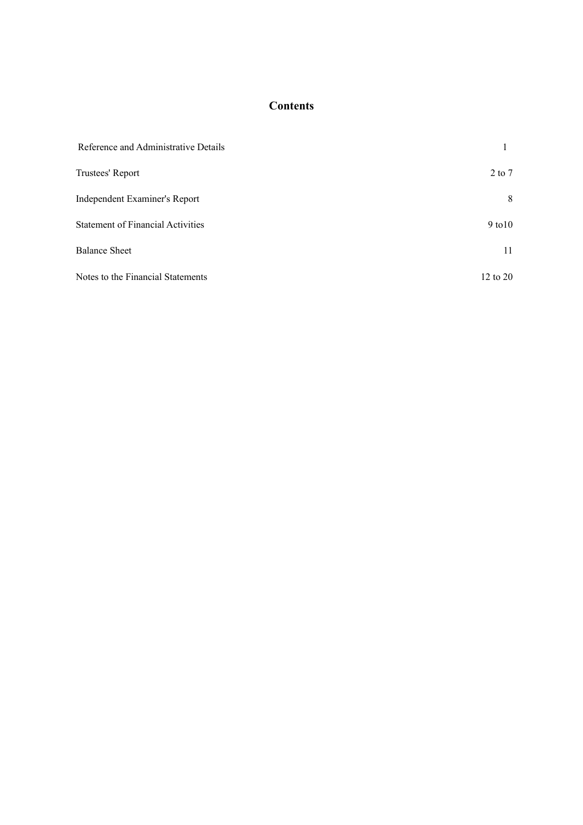## **Contents**

| Reference and Administrative Details     |                     |
|------------------------------------------|---------------------|
| Trustees' Report                         | $2$ to $7$          |
| Independent Examiner's Report            | 8                   |
| <b>Statement of Financial Activities</b> | $9$ to $10$         |
| <b>Balance Sheet</b>                     | 11                  |
| Notes to the Financial Statements        | $12 \text{ to } 20$ |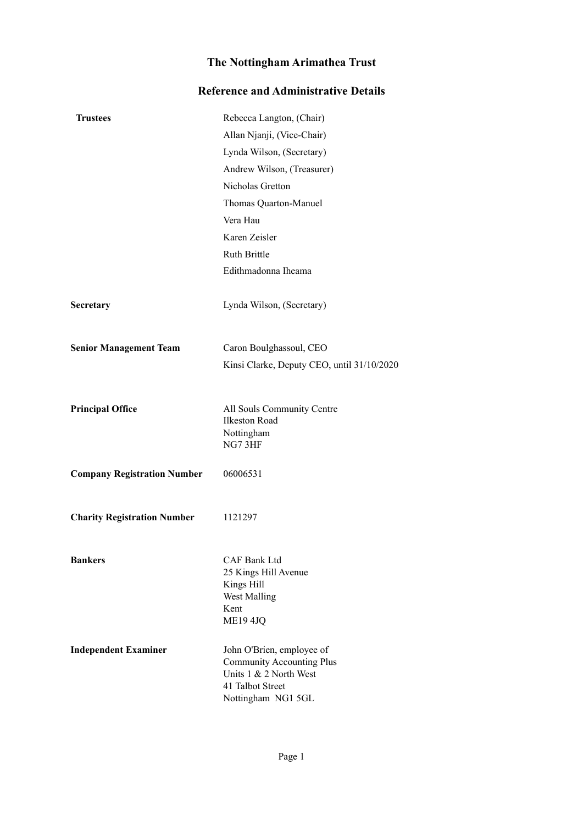## **Reference and Administrative Details**

| <b>Trustees</b>                    | Rebecca Langton, (Chair)                                                                                                          |
|------------------------------------|-----------------------------------------------------------------------------------------------------------------------------------|
|                                    | Allan Njanji, (Vice-Chair)                                                                                                        |
|                                    | Lynda Wilson, (Secretary)                                                                                                         |
|                                    | Andrew Wilson, (Treasurer)                                                                                                        |
|                                    | Nicholas Gretton                                                                                                                  |
|                                    | Thomas Quarton-Manuel                                                                                                             |
|                                    | Vera Hau                                                                                                                          |
|                                    | Karen Zeisler                                                                                                                     |
|                                    | Ruth Brittle                                                                                                                      |
|                                    | Edithmadonna Iheama                                                                                                               |
| Secretary                          | Lynda Wilson, (Secretary)                                                                                                         |
| <b>Senior Management Team</b>      | Caron Boulghassoul, CEO                                                                                                           |
|                                    | Kinsi Clarke, Deputy CEO, until 31/10/2020                                                                                        |
| <b>Principal Office</b>            | All Souls Community Centre<br><b>Ilkeston Road</b><br>Nottingham<br>NG7 3HF                                                       |
| <b>Company Registration Number</b> | 06006531                                                                                                                          |
| <b>Charity Registration Number</b> | 1121297                                                                                                                           |
| <b>Bankers</b>                     | CAF Bank Ltd<br>25 Kings Hill Avenue<br>Kings Hill<br>West Malling<br>Kent<br><b>ME19 4JQ</b>                                     |
| <b>Independent Examiner</b>        | John O'Brien, employee of<br><b>Community Accounting Plus</b><br>Units 1 & 2 North West<br>41 Talbot Street<br>Nottingham NG1 5GL |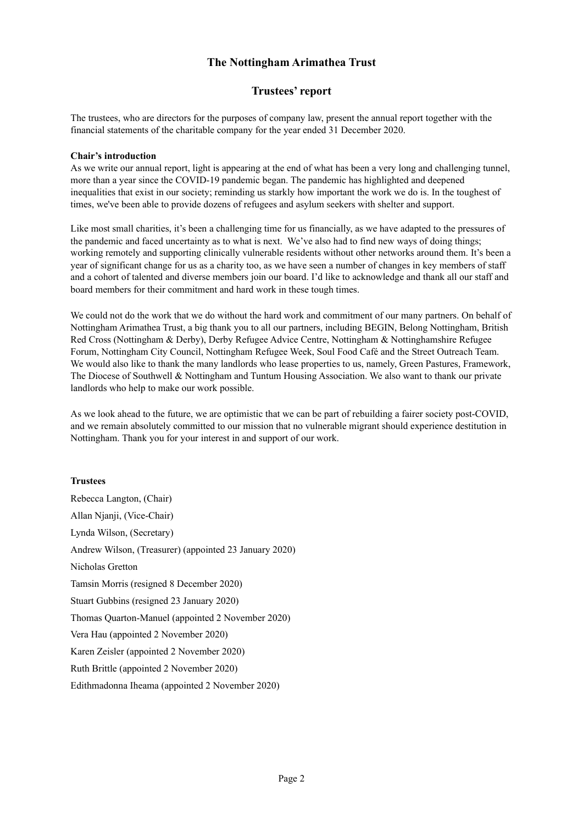## **Trustees' report**

The trustees, who are directors for the purposes of company law, present the annual report together with the financial statements of the charitable company for the year ended 31 December 2020.

#### **Chair's introduction**

As we write our annual report, light is appearing at the end of what has been a very long and challenging tunnel, more than a year since the COVID-19 pandemic began. The pandemic has highlighted and deepened inequalities that exist in our society; reminding us starkly how important the work we do is. In the toughest of times, we've been able to provide dozens of refugees and asylum seekers with shelter and support.

Like most small charities, it's been a challenging time for us financially, as we have adapted to the pressures of the pandemic and faced uncertainty as to what is next. We've also had to find new ways of doing things; working remotely and supporting clinically vulnerable residents without other networks around them. It's been a year of significant change for us as a charity too, as we have seen a number of changes in key members of staff and a cohort of talented and diverse members join our board. I'd like to acknowledge and thank all our staff and board members for their commitment and hard work in these tough times.

We could not do the work that we do without the hard work and commitment of our many partners. On behalf of Nottingham Arimathea Trust, a big thank you to all our partners, including BEGIN, Belong Nottingham, British Red Cross (Nottingham & Derby), Derby Refugee Advice Centre, Nottingham & Nottinghamshire Refugee Forum, Nottingham City Council, Nottingham Refugee Week, Soul Food Café and the Street Outreach Team. We would also like to thank the many landlords who lease properties to us, namely, Green Pastures, Framework, The Diocese of Southwell & Nottingham and Tuntum Housing Association. We also want to thank our private landlords who help to make our work possible.

As we look ahead to the future, we are optimistic that we can be part of rebuilding a fairer society post-COVID, and we remain absolutely committed to our mission that no vulnerable migrant should experience destitution in Nottingham. Thank you for your interest in and support of our work.

#### **Trustees**

Rebecca Langton, (Chair) Allan Njanji, (Vice-Chair) Lynda Wilson, (Secretary) Andrew Wilson, (Treasurer) (appointed 23 January 2020) Nicholas Gretton Tamsin Morris (resigned 8 December 2020) Stuart Gubbins (resigned 23 January 2020) Thomas Quarton-Manuel (appointed 2 November 2020) Vera Hau (appointed 2 November 2020) Karen Zeisler (appointed 2 November 2020) Ruth Brittle (appointed 2 November 2020) Edithmadonna Iheama (appointed 2 November 2020)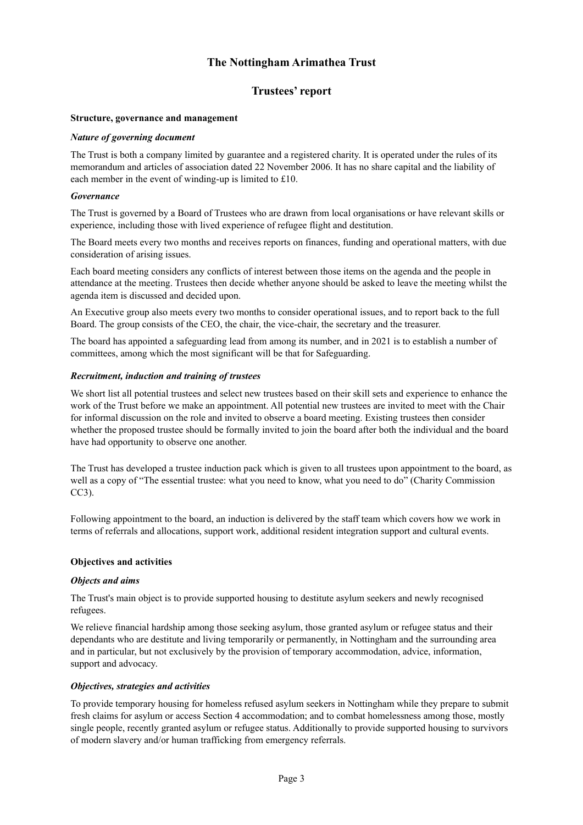## **Trustees' report**

#### **Structure, governance and management**

#### *Nature of governing document*

The Trust is both a company limited by guarantee and a registered charity. It is operated under the rules of its memorandum and articles of association dated 22 November 2006. It has no share capital and the liability of each member in the event of winding-up is limited to £10.

#### *Governance*

The Trust is governed by a Board of Trustees who are drawn from local organisations or have relevant skills or experience, including those with lived experience of refugee flight and destitution.

The Board meets every two months and receives reports on finances, funding and operational matters, with due consideration of arising issues.

Each board meeting considers any conflicts of interest between those items on the agenda and the people in attendance at the meeting. Trustees then decide whether anyone should be asked to leave the meeting whilst the agenda item is discussed and decided upon.

An Executive group also meets every two months to consider operational issues, and to report back to the full Board. The group consists of the CEO, the chair, the vice-chair, the secretary and the treasurer.

The board has appointed a safeguarding lead from among its number, and in 2021 is to establish a number of committees, among which the most significant will be that for Safeguarding.

#### *Recruitment, induction and training of trustees*

We short list all potential trustees and select new trustees based on their skill sets and experience to enhance the work of the Trust before we make an appointment. All potential new trustees are invited to meet with the Chair for informal discussion on the role and invited to observe a board meeting. Existing trustees then consider whether the proposed trustee should be formally invited to join the board after both the individual and the board have had opportunity to observe one another.

The Trust has developed a trustee induction pack which is given to all trustees upon appointment to the board, as well as a copy of "The essential trustee: what you need to know, what you need to do" (Charity Commission CC3).

Following appointment to the board, an induction is delivered by the staff team which covers how we work in terms of referrals and allocations, support work, additional resident integration support and cultural events.

#### **Objectives and activities**

#### *Objects and aims*

The Trust's main object is to provide supported housing to destitute asylum seekers and newly recognised refugees.

We relieve financial hardship among those seeking asylum, those granted asylum or refugee status and their dependants who are destitute and living temporarily or permanently, in Nottingham and the surrounding area and in particular, but not exclusively by the provision of temporary accommodation, advice, information, support and advocacy.

#### *Objectives, strategies and activities*

To provide temporary housing for homeless refused asylum seekers in Nottingham while they prepare to submit fresh claims for asylum or access Section 4 accommodation; and to combat homelessness among those, mostly single people, recently granted asylum or refugee status. Additionally to provide supported housing to survivors of modern slavery and/or human trafficking from emergency referrals.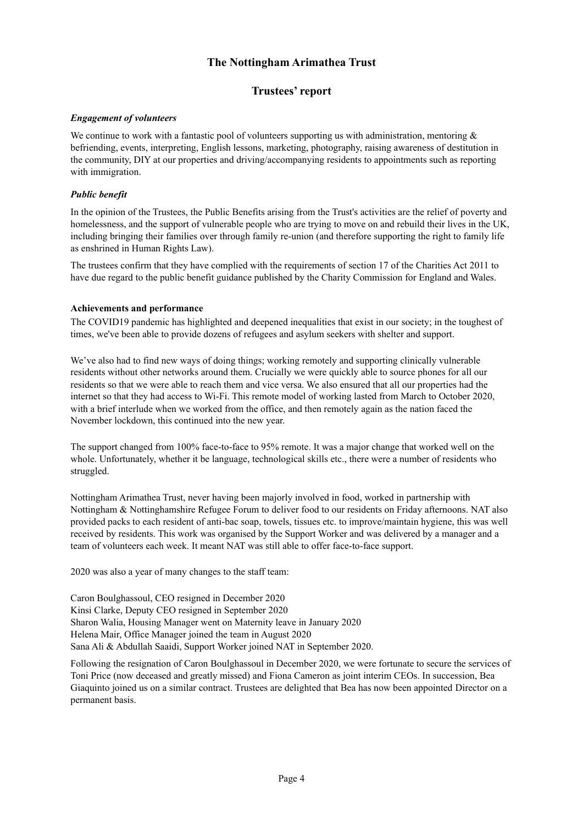## **Trustees' report**

#### *Engagement of volunteers*

We continue to work with a fantastic pool of volunteers supporting us with administration, mentoring & befriending, events, interpreting, English lessons, marketing, photography, raising awareness of destitution in the community, DIY at our properties and driving/accompanying residents to appointments such as reporting with immigration.

## *Public benefit*

In the opinion of the Trustees, the Public Benefits arising from the Trust's activities are the relief of poverty and homelessness, and the support of vulnerable people who are trying to move on and rebuild their lives in the UK, including bringing their families over through family re-union (and therefore supporting the right to family life as enshrined in Human Rights Law).

The trustees confirm that they have complied with the requirements of section 17 of the Charities Act 2011 to have due regard to the public benefit guidance published by the Charity Commission for England and Wales.

#### **Achievements and performance**

The COVID19 pandemic has highlighted and deepened inequalities that exist in our society; in the toughest of times, we've been able to provide dozens of refugees and asylum seekers with shelter and support.

We've also had to find new ways of doing things; working remotely and supporting clinically vulnerable residents without other networks around them. Crucially we were quickly able to source phones for all our residents so that we were able to reach them and vice versa. We also ensured that all our properties had the internet so that they had access to Wi-Fi. This remote model of working lasted from March to October 2020, with a brief interlude when we worked from the office, and then remotely again as the nation faced the November lockdown, this continued into the new year.

The support changed from 100% face-to-face to 95% remote. It was a major change that worked well on the whole. Unfortunately, whether it be language, technological skills etc., there were a number of residents who struggled.

Nottingham Arimathea Trust, never having been majorly involved in food, worked in partnership with Nottingham & Nottinghamshire Refugee Forum to deliver food to our residents on Friday afternoons. NAT also provided packs to each resident of anti-bac soap, towels, tissues etc. to improve/maintain hygiene, this was well received by residents. This work was organised by the Support Worker and was delivered by a manager and a team of volunteers each week. It meant NAT was still able to offer face-to-face support.

2020 was also a year of many changes to the staff team:

Caron Boulghassoul, CEO resigned in December 2020 Kinsi Clarke, Deputy CEO resigned in September 2020 Sharon Walia, Housing Manager went on Maternity leave in January 2020 Helena Mair, Office Manager joined the team in August 2020 Sana Ali & Abdullah Saaidi, Support Worker joined NAT in September 2020.

Following the resignation of Caron Boulghassoul in December 2020, we were fortunate to secure the services of Toni Price (now deceased and greatly missed) and Fiona Cameron as joint interim CEOs. In succession, Bea Giaquinto joined us on a similar contract. Trustees are delighted that Bea has now been appointed Director on a permanent basis.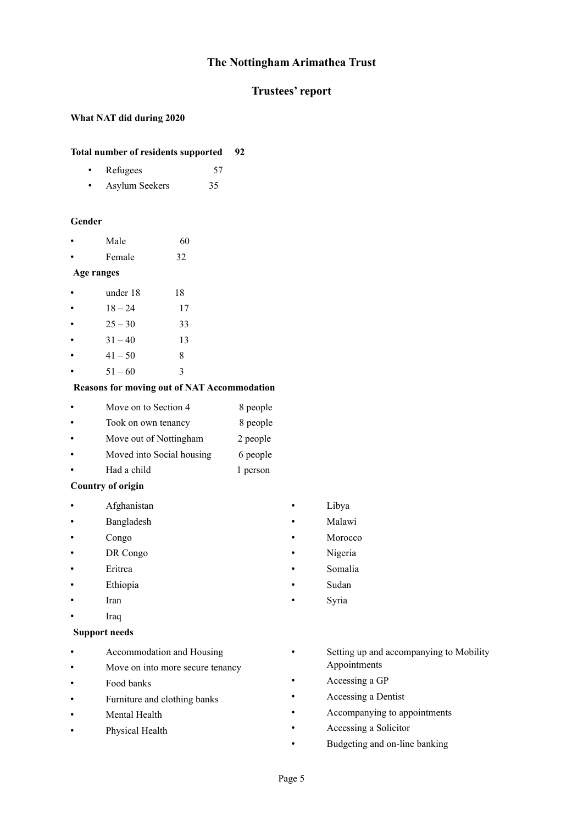## **Trustees' report**

## **What NAT did during 2020**

## **Total number of residents supported 92**

- Refugees 57
- Asylum Seekers 35

#### **Gender**

- Male 60
- Female 32

## **Age ranges**

- under 18 18
- $18 24$  17
- $25 30$  33
- $31 40$  13
- $41 50$  8
- $51 60$  3

#### **Reasons for moving out of NAT Accommodation**

- Move on to Section 4 8 people
- Took on own tenancy 8 people
- Move out of Nottingham 2 people
- Moved into Social housing 6 people
- Had a child 1 person

#### **Country of origin**

- Afghanistan
- Bangladesh
- Congo
- DR Congo
- Eritrea
- **Ethiopia**
- Iran
- Iraq

#### **Support needs**

- Accommodation and Housing
- Move on into more secure tenancy
- Food banks
- Furniture and clothing banks
- Mental Health
- Physical Health
- Libya
- Malawi
- Morocco
- Nigeria
- Somalia
- Sudan
- Syria
- Setting up and accompanying to Mobility Appointments
- Accessing a GP
- Accessing a Dentist
- Accompanying to appointments
- Accessing a Solicitor
- Budgeting and on-line banking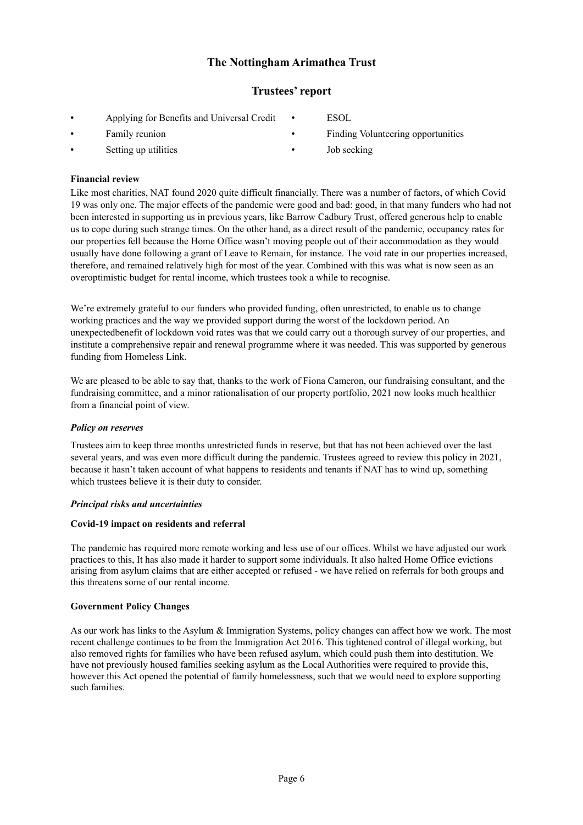## **Trustees' report**

- Applying for Benefits and Universal Credit
- Family reunion
- Setting up utilities
- ESOL
- Finding Volunteering opportunities
- Job seeking

## **Financial review**

Like most charities, NAT found 2020 quite difficult financially. There was a number of factors, of which Covid 19 was only one. The major effects of the pandemic were good and bad: good, in that many funders who had not been interested in supporting us in previous years, like Barrow Cadbury Trust, offered generous help to enable us to cope during such strange times. On the other hand, as a direct result of the pandemic, occupancy rates for our properties fell because the Home Office wasn't moving people out of their accommodation as they would usually have done following a grant of Leave to Remain, for instance. The void rate in our properties increased, therefore, and remained relatively high for most of the year. Combined with this was what is now seen as an overoptimistic budget for rental income, which trustees took a while to recognise.

We're extremely grateful to our funders who provided funding, often unrestricted, to enable us to change working practices and the way we provided support during the worst of the lockdown period. An unexpectedbenefit of lockdown void rates was that we could carry out a thorough survey of our properties, and institute a comprehensive repair and renewal programme where it was needed. This was supported by generous funding from Homeless Link.

We are pleased to be able to say that, thanks to the work of Fiona Cameron, our fundraising consultant, and the fundraising committee, and a minor rationalisation of our property portfolio, 2021 now looks much healthier from a financial point of view.

## *Policy on reserves*

Trustees aim to keep three months unrestricted funds in reserve, but that has not been achieved over the last several years, and was even more difficult during the pandemic. Trustees agreed to review this policy in 2021, because it hasn't taken account of what happens to residents and tenants if NAT has to wind up, something which trustees believe it is their duty to consider.

## *Principal risks and uncertainties*

#### **Covid-19 impact on residents and referral**

The pandemic has required more remote working and less use of our offices. Whilst we have adjusted our work practices to this, It has also made it harder to support some individuals. It also halted Home Office evictions arising from asylum claims that are either accepted or refused - we have relied on referrals for both groups and this threatens some of our rental income.

## **Government Policy Changes**

As our work has links to the Asylum & Immigration Systems, policy changes can affect how we work. The most recent challenge continues to be from the Immigration Act 2016. This tightened control of illegal working, but also removed rights for families who have been refused asylum, which could push them into destitution. We have not previously housed families seeking asylum as the Local Authorities were required to provide this, however this Act opened the potential of family homelessness, such that we would need to explore supporting such families.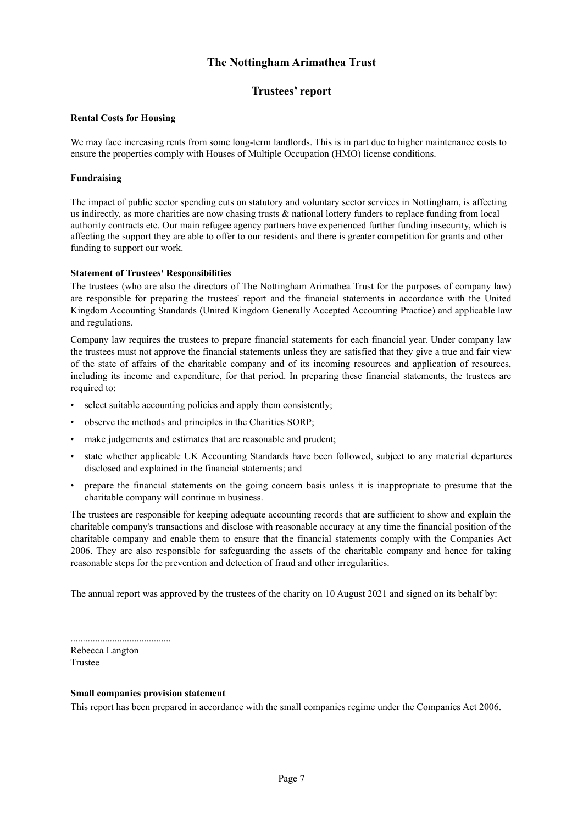## **Trustees' report**

#### **Rental Costs for Housing**

We may face increasing rents from some long-term landlords. This is in part due to higher maintenance costs to ensure the properties comply with Houses of Multiple Occupation (HMO) license conditions.

#### **Fundraising**

The impact of public sector spending cuts on statutory and voluntary sector services in Nottingham, is affecting us indirectly, as more charities are now chasing trusts & national lottery funders to replace funding from local authority contracts etc. Our main refugee agency partners have experienced further funding insecurity, which is affecting the support they are able to offer to our residents and there is greater competition for grants and other funding to support our work.

#### **Statement of Trustees' Responsibilities**

The trustees (who are also the directors of The Nottingham Arimathea Trust for the purposes of company law) are responsible for preparing the trustees' report and the financial statements in accordance with the United Kingdom Accounting Standards (United Kingdom Generally Accepted Accounting Practice) and applicable law and regulations.

Company law requires the trustees to prepare financial statements for each financial year. Under company law the trustees must not approve the financial statements unless they are satisfied that they give a true and fair view of the state of affairs of the charitable company and of its incoming resources and application of resources, including its income and expenditure, for that period. In preparing these financial statements, the trustees are required to:

- select suitable accounting policies and apply them consistently;
- observe the methods and principles in the Charities SORP;
- make judgements and estimates that are reasonable and prudent;
- state whether applicable UK Accounting Standards have been followed, subject to any material departures disclosed and explained in the financial statements; and
- prepare the financial statements on the going concern basis unless it is inappropriate to presume that the charitable company will continue in business.

The trustees are responsible for keeping adequate accounting records that are sufficient to show and explain the charitable company's transactions and disclose with reasonable accuracy at any time the financial position of the charitable company and enable them to ensure that the financial statements comply with the Companies Act 2006. They are also responsible for safeguarding the assets of the charitable company and hence for taking reasonable steps for the prevention and detection of fraud and other irregularities.

The annual report was approved by the trustees of the charity on 10 August 2021 and signed on its behalf by:

......................................... Rebecca Langton Trustee

#### **Small companies provision statement**

This report has been prepared in accordance with the small companies regime under the Companies Act 2006.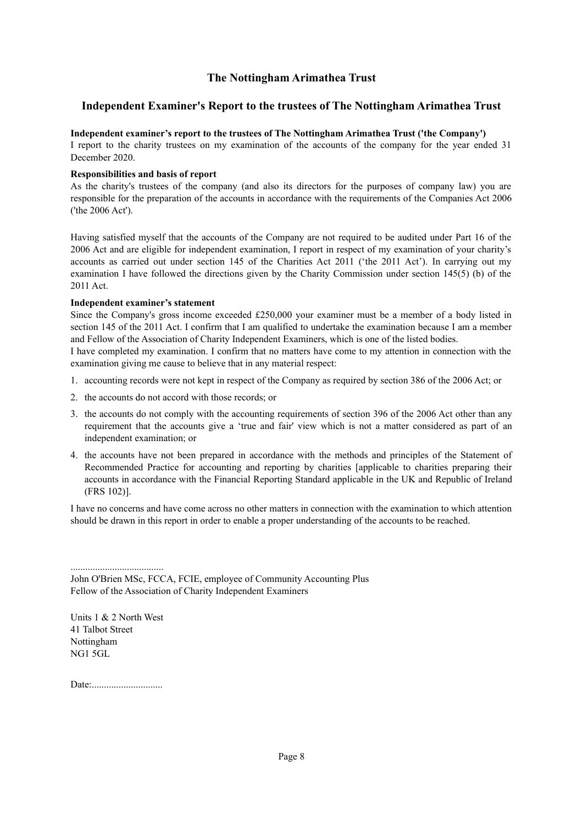## **Independent Examiner's Report to the trustees of The Nottingham Arimathea Trust**

## **Independent examiner's report to the trustees of The Nottingham Arimathea Trust ('the Company')**

I report to the charity trustees on my examination of the accounts of the company for the year ended 31 December 2020.

#### **Responsibilities and basis of report**

As the charity's trustees of the company (and also its directors for the purposes of company law) you are responsible for the preparation of the accounts in accordance with the requirements of the Companies Act 2006 ('the 2006 Act').

Having satisfied myself that the accounts of the Company are not required to be audited under Part 16 of the 2006 Act and are eligible for independent examination, I report in respect of my examination of your charity's accounts as carried out under section 145 of the Charities Act 2011 ('the 2011 Act'). In carrying out my examination I have followed the directions given by the Charity Commission under section 145(5) (b) of the 2011 Act.

#### **Independent examiner's statement**

Since the Company's gross income exceeded £250,000 your examiner must be a member of a body listed in section 145 of the 2011 Act. I confirm that I am qualified to undertake the examination because I am a member and Fellow of the Association of Charity Independent Examiners, which is one of the listed bodies.

I have completed my examination. I confirm that no matters have come to my attention in connection with the examination giving me cause to believe that in any material respect:

- 1. accounting records were not kept in respect of the Company as required by section 386 of the 2006 Act; or
- 2. the accounts do not accord with those records; or
- 3. the accounts do not comply with the accounting requirements of section 396 of the 2006 Act other than any requirement that the accounts give a 'true and fair' view which is not a matter considered as part of an independent examination; or
- 4. the accounts have not been prepared in accordance with the methods and principles of the Statement of Recommended Practice for accounting and reporting by charities [applicable to charities preparing their accounts in accordance with the Financial Reporting Standard applicable in the UK and Republic of Ireland (FRS 102)].

I have no concerns and have come across no other matters in connection with the examination to which attention should be drawn in this report in order to enable a proper understanding of the accounts to be reached.

Units 1 & 2 North West 41 Talbot Street Nottingham NG1 5GL

......................................

Date:.............................

John O'Brien MSc, FCCA, FCIE, employee of Community Accounting Plus Fellow of the Association of Charity Independent Examiners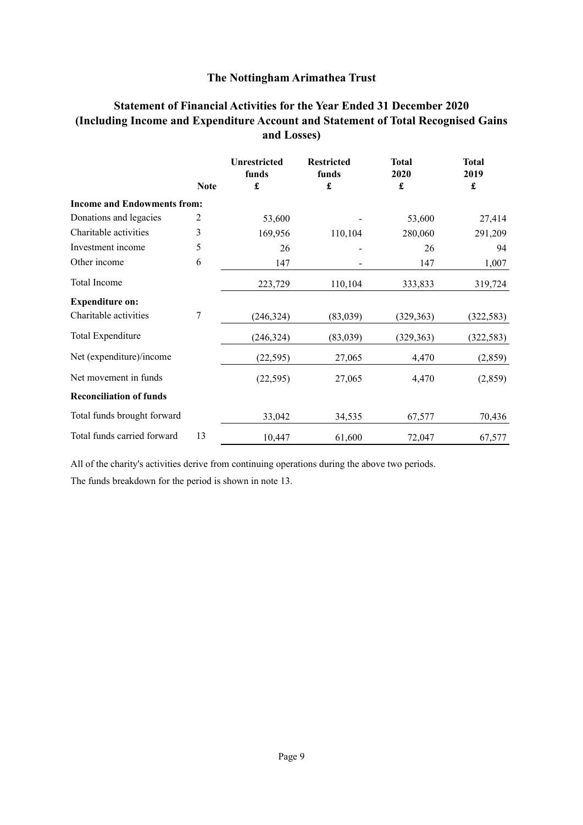## **Statement of Financial Activities for the Year Ended 31 December 2020 (Including Income and Expenditure Account and Statement of Total Recognised Gains and Losses)**

|                                    |             | <b>Unrestricted</b><br>funds | <b>Restricted</b><br>funds | <b>Total</b><br>2020 | <b>Total</b><br>2019 |
|------------------------------------|-------------|------------------------------|----------------------------|----------------------|----------------------|
|                                    | <b>Note</b> | £                            | £                          | £                    | £                    |
| <b>Income and Endowments from:</b> |             |                              |                            |                      |                      |
| Donations and legacies             | 2           | 53,600                       |                            | 53,600               | 27,414               |
| Charitable activities              | 3           | 169,956                      | 110,104                    | 280,060              | 291,209              |
| Investment income                  | 5           | 26                           |                            | 26                   | 94                   |
| Other income                       | 6           | 147                          |                            | 147                  | 1,007                |
| Total Income                       |             | 223,729                      | 110,104                    | 333,833              | 319,724              |
| <b>Expenditure on:</b>             |             |                              |                            |                      |                      |
| Charitable activities              | 7           | (246, 324)                   | (83,039)                   | (329, 363)           | (322, 583)           |
| Total Expenditure                  |             | (246, 324)                   | (83,039)                   | (329, 363)           | (322, 583)           |
| Net (expenditure)/income           |             | (22, 595)                    | 27,065                     | 4,470                | (2,859)              |
| Net movement in funds              |             | (22, 595)                    | 27,065                     | 4,470                | (2,859)              |
| <b>Reconciliation of funds</b>     |             |                              |                            |                      |                      |
| Total funds brought forward        |             | 33,042                       | 34,535                     | 67,577               | 70,436               |
| Total funds carried forward        | 13          | 10,447                       | 61,600                     | 72,047               | 67,577               |

All of the charity's activities derive from continuing operations during the above two periods.

The funds breakdown for the period is shown in note 13.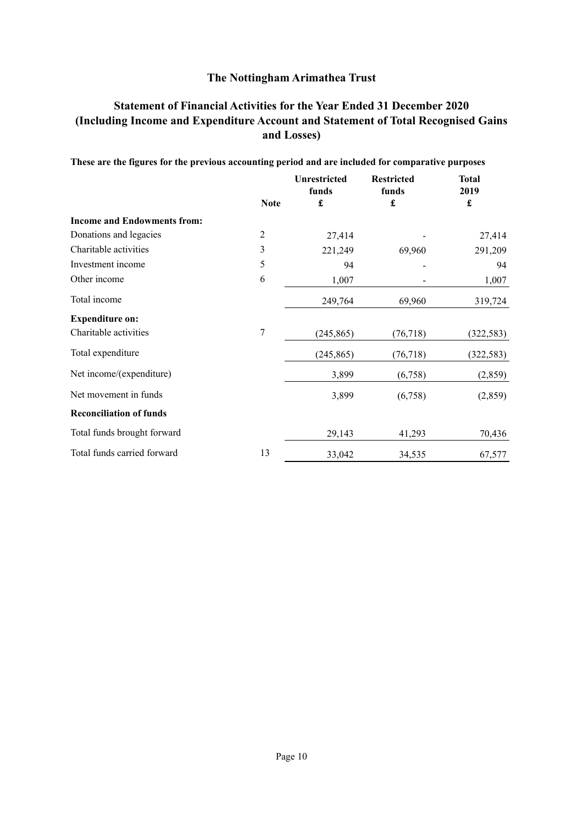## **Statement of Financial Activities for the Year Ended 31 December 2020 (Including Income and Expenditure Account and Statement of Total Recognised Gains and Losses)**

|                                    |                | <b>Unrestricted</b><br>funds | <b>Restricted</b><br>funds | <b>Total</b><br>2019 |
|------------------------------------|----------------|------------------------------|----------------------------|----------------------|
|                                    | <b>Note</b>    | £                            | £                          | $\pmb{\mathfrak{L}}$ |
| <b>Income and Endowments from:</b> |                |                              |                            |                      |
| Donations and legacies             | $\overline{2}$ | 27,414                       |                            | 27,414               |
| Charitable activities              | 3              | 221,249                      | 69,960                     | 291,209              |
| Investment income                  | 5              | 94                           |                            | 94                   |
| Other income                       | 6              | 1,007                        |                            | 1,007                |
| Total income                       |                | 249,764                      | 69,960                     | 319,724              |
| <b>Expenditure on:</b>             |                |                              |                            |                      |
| Charitable activities              | $\overline{7}$ | (245, 865)                   | (76, 718)                  | (322, 583)           |
| Total expenditure                  |                | (245, 865)                   | (76, 718)                  | (322, 583)           |
| Net income/(expenditure)           |                | 3,899                        | (6,758)                    | (2,859)              |
| Net movement in funds              |                | 3,899                        | (6,758)                    | (2,859)              |
| <b>Reconciliation of funds</b>     |                |                              |                            |                      |
| Total funds brought forward        |                | 29,143                       | 41,293                     | 70,436               |
| Total funds carried forward        | 13             | 33,042                       | 34,535                     | 67,577               |

# **These are the figures for the previous accounting period and are included for comparative purposes**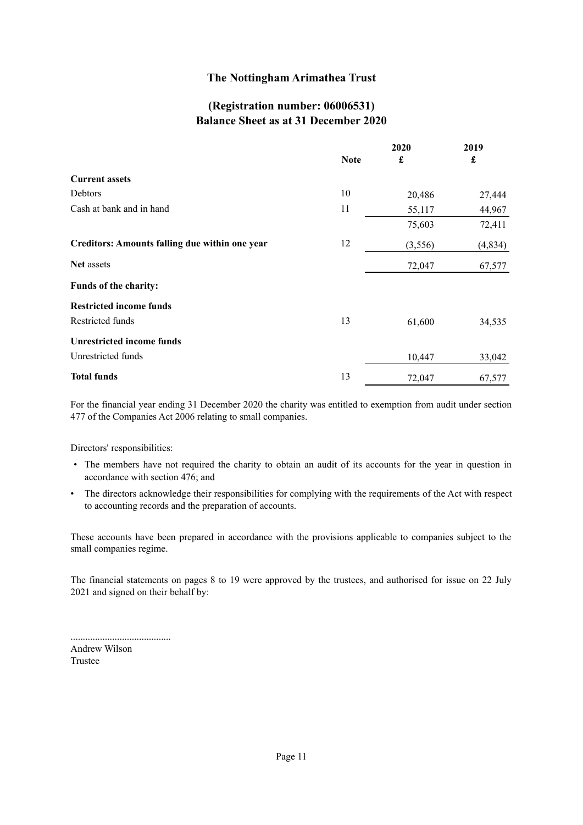## **(Registration number: 06006531) Balance Sheet as at 31 December 2020**

|                                                       |             | 2020                 | 2019    |
|-------------------------------------------------------|-------------|----------------------|---------|
|                                                       | <b>Note</b> | $\pmb{\mathfrak{L}}$ | £       |
| <b>Current assets</b>                                 |             |                      |         |
| Debtors                                               | 10          | 20,486               | 27,444  |
| Cash at bank and in hand                              | 11          | 55,117               | 44,967  |
|                                                       |             | 75,603               | 72,411  |
| <b>Creditors: Amounts falling due within one year</b> | 12          | (3,556)              | (4,834) |
| Net assets                                            |             | 72,047               | 67,577  |
| Funds of the charity:                                 |             |                      |         |
| <b>Restricted income funds</b>                        |             |                      |         |
| Restricted funds                                      | 13          | 61,600               | 34,535  |
| <b>Unrestricted income funds</b>                      |             |                      |         |
| Unrestricted funds                                    |             | 10,447               | 33,042  |
| <b>Total funds</b>                                    | 13          | 72,047               | 67,577  |

For the financial year ending 31 December 2020 the charity was entitled to exemption from audit under section 477 of the Companies Act 2006 relating to small companies.

Directors' responsibilities:

- The members have not required the charity to obtain an audit of its accounts for the year in question in accordance with section 476; and
- The directors acknowledge their responsibilities for complying with the requirements of the Act with respect to accounting records and the preparation of accounts.

These accounts have been prepared in accordance with the provisions applicable to companies subject to the small companies regime.

The financial statements on pages 8 to 19 were approved by the trustees, and authorised for issue on 22 July 2021 and signed on their behalf by:

| Andrew Wilson |
|---------------|
| Trustee       |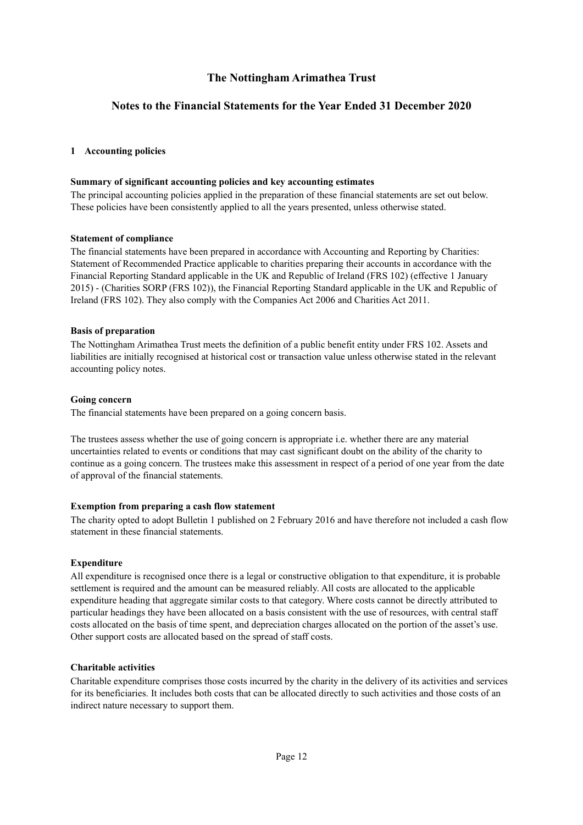## **Notes to the Financial Statements for the Year Ended 31 December 2020**

## **1 Accounting policies**

#### **Summary of significant accounting policies and key accounting estimates**

The principal accounting policies applied in the preparation of these financial statements are set out below. These policies have been consistently applied to all the years presented, unless otherwise stated.

#### **Statement of compliance**

The financial statements have been prepared in accordance with Accounting and Reporting by Charities: Statement of Recommended Practice applicable to charities preparing their accounts in accordance with the Financial Reporting Standard applicable in the UK and Republic of Ireland (FRS 102) (effective 1 January 2015) - (Charities SORP (FRS 102)), the Financial Reporting Standard applicable in the UK and Republic of Ireland (FRS 102). They also comply with the Companies Act 2006 and Charities Act 2011.

#### **Basis of preparation**

The Nottingham Arimathea Trust meets the definition of a public benefit entity under FRS 102. Assets and liabilities are initially recognised at historical cost or transaction value unless otherwise stated in the relevant accounting policy notes.

#### **Going concern**

The financial statements have been prepared on a going concern basis.

The trustees assess whether the use of going concern is appropriate i.e. whether there are any material uncertainties related to events or conditions that may cast significant doubt on the ability of the charity to continue as a going concern. The trustees make this assessment in respect of a period of one year from the date of approval of the financial statements.

#### **Exemption from preparing a cash flow statement**

The charity opted to adopt Bulletin 1 published on 2 February 2016 and have therefore not included a cash flow statement in these financial statements.

#### **Expenditure**

All expenditure is recognised once there is a legal or constructive obligation to that expenditure, it is probable settlement is required and the amount can be measured reliably. All costs are allocated to the applicable expenditure heading that aggregate similar costs to that category. Where costs cannot be directly attributed to particular headings they have been allocated on a basis consistent with the use of resources, with central staff costs allocated on the basis of time spent, and depreciation charges allocated on the portion of the asset's use. Other support costs are allocated based on the spread of staff costs.

#### **Charitable activities**

Charitable expenditure comprises those costs incurred by the charity in the delivery of its activities and services for its beneficiaries. It includes both costs that can be allocated directly to such activities and those costs of an indirect nature necessary to support them.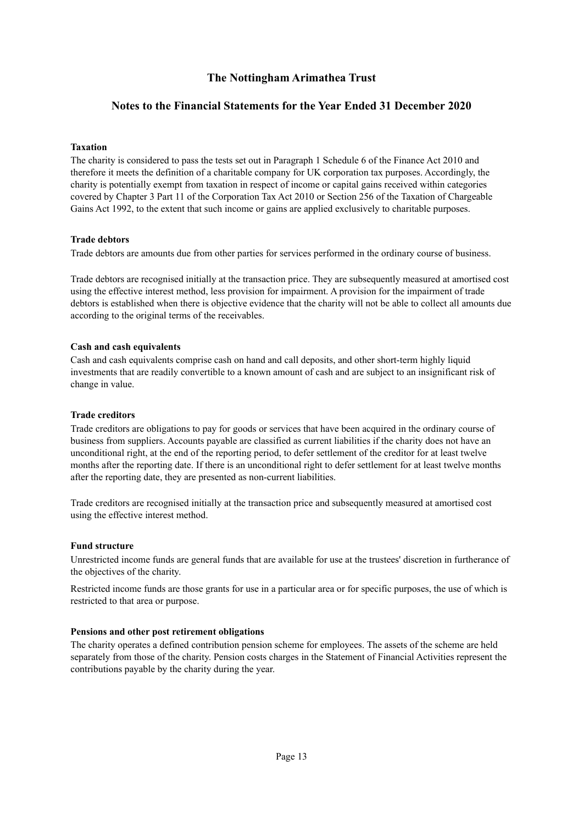## **Notes to the Financial Statements for the Year Ended 31 December 2020**

#### **Taxation**

The charity is considered to pass the tests set out in Paragraph 1 Schedule 6 of the Finance Act 2010 and therefore it meets the definition of a charitable company for UK corporation tax purposes. Accordingly, the charity is potentially exempt from taxation in respect of income or capital gains received within categories covered by Chapter 3 Part 11 of the Corporation Tax Act 2010 or Section 256 of the Taxation of Chargeable Gains Act 1992, to the extent that such income or gains are applied exclusively to charitable purposes.

#### **Trade debtors**

Trade debtors are amounts due from other parties for services performed in the ordinary course of business.

Trade debtors are recognised initially at the transaction price. They are subsequently measured at amortised cost using the effective interest method, less provision for impairment. A provision for the impairment of trade debtors is established when there is objective evidence that the charity will not be able to collect all amounts due according to the original terms of the receivables.

## **Cash and cash equivalents**

Cash and cash equivalents comprise cash on hand and call deposits, and other short-term highly liquid investments that are readily convertible to a known amount of cash and are subject to an insignificant risk of change in value.

#### **Trade creditors**

Trade creditors are obligations to pay for goods or services that have been acquired in the ordinary course of business from suppliers. Accounts payable are classified as current liabilities if the charity does not have an unconditional right, at the end of the reporting period, to defer settlement of the creditor for at least twelve months after the reporting date. If there is an unconditional right to defer settlement for at least twelve months after the reporting date, they are presented as non-current liabilities.

Trade creditors are recognised initially at the transaction price and subsequently measured at amortised cost using the effective interest method.

#### **Fund structure**

Unrestricted income funds are general funds that are available for use at the trustees' discretion in furtherance of the objectives of the charity.

Restricted income funds are those grants for use in a particular area or for specific purposes, the use of which is restricted to that area or purpose.

#### **Pensions and other post retirement obligations**

The charity operates a defined contribution pension scheme for employees. The assets of the scheme are held separately from those of the charity. Pension costs charges in the Statement of Financial Activities represent the contributions payable by the charity during the year.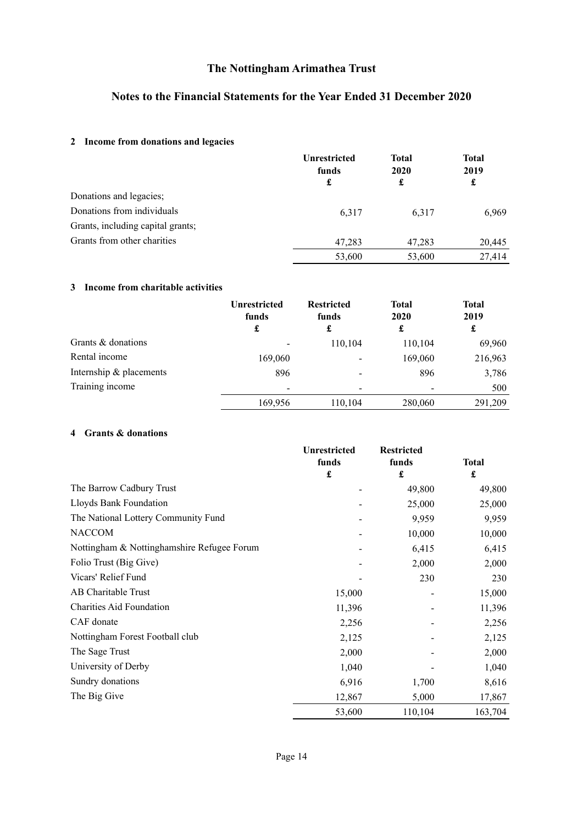## **Notes to the Financial Statements for the Year Ended 31 December 2020**

## **2 Income from donations and legacies**

|                                   | <b>Unrestricted</b><br>funds<br>£ | <b>Total</b><br><b>2020</b><br>£ | <b>Total</b><br>2019<br>£ |
|-----------------------------------|-----------------------------------|----------------------------------|---------------------------|
| Donations and legacies;           |                                   |                                  |                           |
| Donations from individuals        | 6,317                             | 6,317                            | 6,969                     |
| Grants, including capital grants; |                                   |                                  |                           |
| Grants from other charities       | 47,283                            | 47,283                           | 20,445                    |
|                                   | 53,600                            | 53,600                           | 27,414                    |

## **3 Income from charitable activities**

|                         | <b>Unrestricted</b><br>funds<br>£ | <b>Restricted</b><br>funds<br>£ | <b>Total</b><br>2020<br>£ | <b>Total</b><br>2019<br>£ |
|-------------------------|-----------------------------------|---------------------------------|---------------------------|---------------------------|
| Grants & donations      |                                   | 110,104                         | 110,104                   | 69,960                    |
| Rental income           | 169,060                           | -                               | 169,060                   | 216,963                   |
| Internship & placements | 896                               |                                 | 896                       | 3,786                     |
| Training income         |                                   | $\overline{\phantom{a}}$        |                           | 500                       |
|                         | 169,956                           | 110,104                         | 280,060                   | 291,209                   |

## **4 Grants & donations**

|                                            | Unrestricted<br>funds<br>$\pmb{\mathfrak{L}}$ | <b>Restricted</b>             |                   |
|--------------------------------------------|-----------------------------------------------|-------------------------------|-------------------|
|                                            |                                               | funds<br>$\pmb{\mathfrak{L}}$ | <b>Total</b><br>£ |
| The Barrow Cadbury Trust                   |                                               | 49,800                        | 49,800            |
| Lloyds Bank Foundation                     |                                               | 25,000                        | 25,000            |
| The National Lottery Community Fund        |                                               | 9,959                         | 9,959             |
| <b>NACCOM</b>                              |                                               | 10,000                        | 10,000            |
| Nottingham & Nottinghamshire Refugee Forum |                                               | 6,415                         | 6,415             |
| Folio Trust (Big Give)                     |                                               | 2,000                         | 2,000             |
| Vicars' Relief Fund                        |                                               | 230                           | 230               |
| AB Charitable Trust                        | 15,000                                        |                               | 15,000            |
| <b>Charities Aid Foundation</b>            | 11,396                                        |                               | 11,396            |
| CAF donate                                 | 2,256                                         |                               | 2,256             |
| Nottingham Forest Football club            | 2,125                                         |                               | 2,125             |
| The Sage Trust                             | 2,000                                         |                               | 2,000             |
| University of Derby                        | 1,040                                         |                               | 1,040             |
| Sundry donations                           | 6,916                                         | 1,700                         | 8,616             |
| The Big Give                               | 12,867                                        | 5,000                         | 17,867            |
|                                            | 53,600                                        | 110,104                       | 163,704           |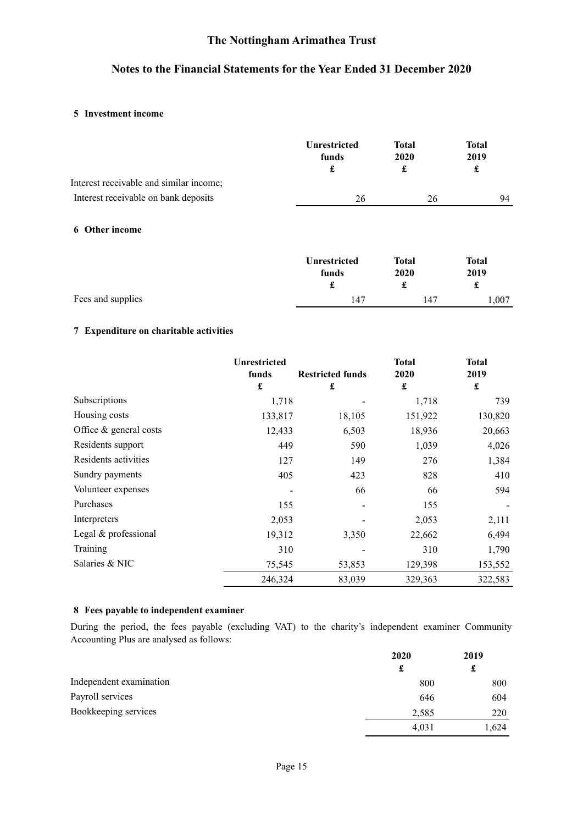## **Notes to the Financial Statements for the Year Ended 31 December 2020**

## **5 Investment income**

| Interest receivable and similar income; | <b>Unrestricted</b><br>funds<br>£ | <b>Total</b><br>2020<br>£ | <b>Total</b><br>2019<br>£ |
|-----------------------------------------|-----------------------------------|---------------------------|---------------------------|
|                                         |                                   |                           |                           |
| Interest receivable on bank deposits    | 26                                | 26                        | 94                        |
| <b>6</b> Other income                   |                                   |                           |                           |
|                                         | <b>Unrestricted</b>               | <b>Total</b>              | <b>Total</b>              |
|                                         | funds                             | 2020                      | 2019                      |
|                                         | £                                 | £                         | £                         |
| Fees and supplies                       | 147                               | 147                       | 1,007                     |

## **7 Expenditure on charitable activities**

|                          | <b>Unrestricted</b><br>funds | <b>Restricted funds</b> | <b>Total</b><br>2020 | <b>Total</b><br>2019 |
|--------------------------|------------------------------|-------------------------|----------------------|----------------------|
|                          | £                            | £                       | £                    | £                    |
| Subscriptions            | 1,718                        |                         | 1,718                | 739                  |
| Housing costs            | 133,817                      | 18,105                  | 151,922              | 130,820              |
| Office $&$ general costs | 12,433                       | 6,503                   | 18,936               | 20,663               |
| Residents support        | 449                          | 590                     | 1,039                | 4,026                |
| Residents activities     | 127                          | 149                     | 276                  | 1,384                |
| Sundry payments          | 405                          | 423                     | 828                  | 410                  |
| Volunteer expenses       |                              | 66                      | 66                   | 594                  |
| Purchases                | 155                          |                         | 155                  |                      |
| Interpreters             | 2,053                        |                         | 2,053                | 2,111                |
| Legal & professional     | 19,312                       | 3,350                   | 22,662               | 6,494                |
| Training                 | 310                          |                         | 310                  | 1,790                |
| Salaries & NIC           | 75,545                       | 53,853                  | 129,398              | 153,552              |
|                          | 246,324                      | 83,039                  | 329,363              | 322,583              |

## **8 Fees payable to independent examiner**

During the period, the fees payable (excluding VAT) to the charity's independent examiner Community Accounting Plus are analysed as follows:

|                         | 2020  | 2019  |
|-------------------------|-------|-------|
|                         | £     | t.    |
| Independent examination | 800   | 800   |
| Payroll services        | 646   | 604   |
| Bookkeeping services    | 2,585 | 220   |
|                         | 4,031 | 1,624 |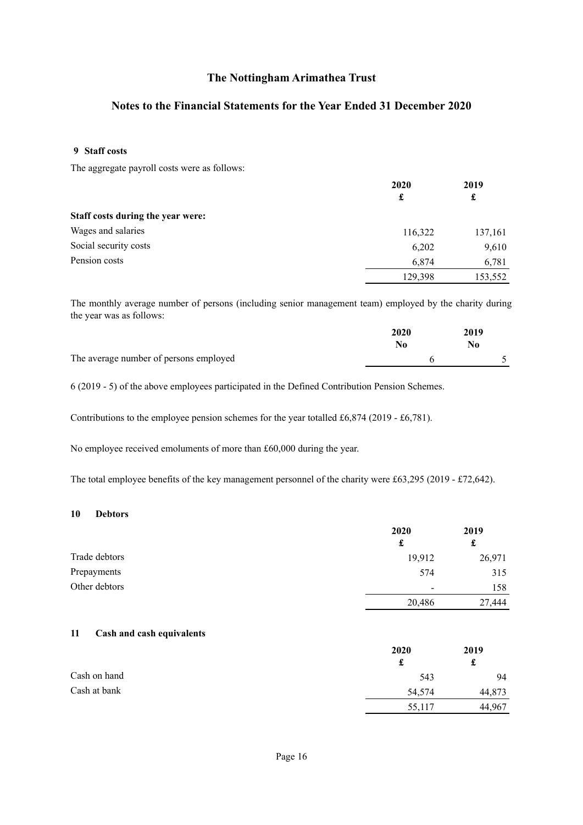## **Notes to the Financial Statements for the Year Ended 31 December 2020**

#### **9 Staff costs**

The aggregate payroll costs were as follows:

|                                   | 2020<br>£ | 2019<br>£ |
|-----------------------------------|-----------|-----------|
|                                   |           |           |
| Staff costs during the year were: |           |           |
| Wages and salaries                | 116,322   | 137,161   |
| Social security costs             | 6,202     | 9,610     |
| Pension costs                     | 6,874     | 6,781     |
|                                   | 129,398   | 153,552   |

The monthly average number of persons (including senior management team) employed by the charity during the year was as follows:

|                                        | 2020<br>No | 2019 |
|----------------------------------------|------------|------|
|                                        |            |      |
| The average number of persons employed |            |      |

6 (2019 - 5) of the above employees participated in the Defined Contribution Pension Schemes.

Contributions to the employee pension schemes for the year totalled £6,874 (2019 - £6,781).

No employee received emoluments of more than £60,000 during the year.

The total employee benefits of the key management personnel of the charity were £63,295 (2019 - £72,642).

#### **10 Debtors**

|               | 2020   | 2019   |
|---------------|--------|--------|
|               | £      |        |
| Trade debtors | 19,912 | 26,971 |
| Prepayments   | 574    | 315    |
| Other debtors | -      | 158    |
|               | 20,486 | 27,444 |

#### **11 Cash and cash equivalents**

|              | 2020   | 2019   |
|--------------|--------|--------|
|              | £      | £      |
| Cash on hand | 543    | 94     |
| Cash at bank | 54,574 | 44,873 |
|              | 55,117 | 44,967 |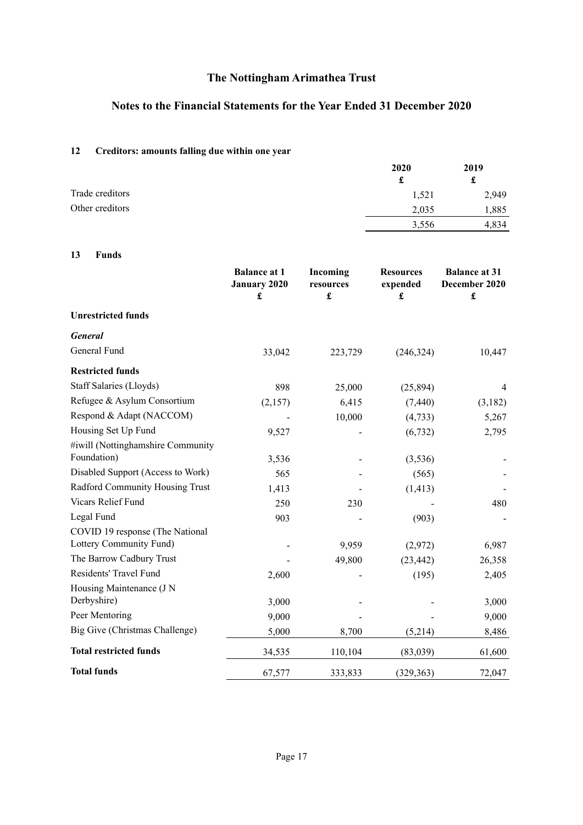## **Notes to the Financial Statements for the Year Ended 31 December 2020**

## **12 Creditors: amounts falling due within one year**

|                 | 2020  | 2019  |
|-----------------|-------|-------|
|                 | £     | t     |
| Trade creditors | 1,521 | 2,949 |
| Other creditors | 2,035 | 1,885 |
|                 | 3,556 | 4,834 |

## **13 Funds**

|                                                  | <b>Balance at 1</b><br><b>January 2020</b><br>£ | Incoming<br>resources<br>$\pmb{\mathbf{f}}$ | <b>Resources</b><br>expended<br>$\pmb{\mathfrak{L}}$ | <b>Balance at 31</b><br>December 2020<br>$\pmb{\mathbf{f}}$ |
|--------------------------------------------------|-------------------------------------------------|---------------------------------------------|------------------------------------------------------|-------------------------------------------------------------|
| <b>Unrestricted funds</b>                        |                                                 |                                             |                                                      |                                                             |
| <b>General</b>                                   |                                                 |                                             |                                                      |                                                             |
| General Fund                                     | 33,042                                          | 223,729                                     | (246, 324)                                           | 10,447                                                      |
| <b>Restricted funds</b>                          |                                                 |                                             |                                                      |                                                             |
| Staff Salaries (Lloyds)                          | 898                                             | 25,000                                      | (25, 894)                                            | 4                                                           |
| Refugee & Asylum Consortium                      | (2,157)                                         | 6,415                                       | (7, 440)                                             | (3,182)                                                     |
| Respond & Adapt (NACCOM)                         |                                                 | 10,000                                      | (4, 733)                                             | 5,267                                                       |
| Housing Set Up Fund                              | 9,527                                           |                                             | (6, 732)                                             | 2,795                                                       |
| #iwill (Nottinghamshire Community<br>Foundation) | 3,536                                           |                                             | (3,536)                                              |                                                             |
| Disabled Support (Access to Work)                | 565                                             |                                             | (565)                                                |                                                             |
| Radford Community Housing Trust                  | 1,413                                           |                                             | (1, 413)                                             |                                                             |
| Vicars Relief Fund                               | 250                                             | 230                                         |                                                      | 480                                                         |
| Legal Fund                                       | 903                                             |                                             | (903)                                                |                                                             |
| COVID 19 response (The National                  |                                                 |                                             |                                                      |                                                             |
| Lottery Community Fund)                          |                                                 | 9,959                                       | (2,972)                                              | 6,987                                                       |
| The Barrow Cadbury Trust                         |                                                 | 49,800                                      | (23, 442)                                            | 26,358                                                      |
| Residents' Travel Fund                           | 2,600                                           |                                             | (195)                                                | 2,405                                                       |
| Housing Maintenance (J N<br>Derbyshire)          | 3,000                                           |                                             |                                                      | 3,000                                                       |
| Peer Mentoring                                   | 9,000                                           |                                             |                                                      | 9,000                                                       |
| Big Give (Christmas Challenge)                   | 5,000                                           | 8,700                                       | (5,214)                                              | 8,486                                                       |
| <b>Total restricted funds</b>                    | 34,535                                          | 110,104                                     | (83,039)                                             | 61,600                                                      |
| <b>Total funds</b>                               | 67,577                                          | 333,833                                     | (329, 363)                                           | 72,047                                                      |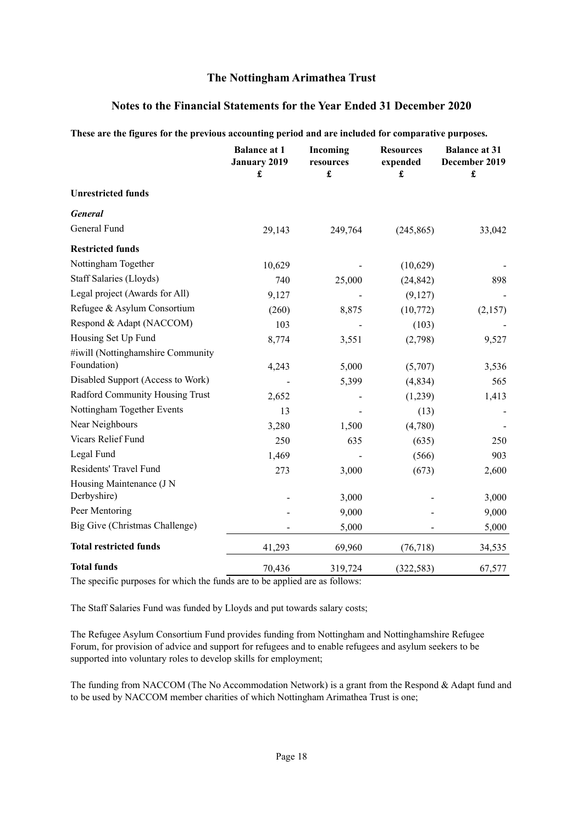## **Notes to the Financial Statements for the Year Ended 31 December 2020**

| These are the rightes for the previous accounting period and are included for comparative purposes. |                                                 |                                               |                                                      |                                                               |
|-----------------------------------------------------------------------------------------------------|-------------------------------------------------|-----------------------------------------------|------------------------------------------------------|---------------------------------------------------------------|
|                                                                                                     | <b>Balance at 1</b><br><b>January 2019</b><br>£ | Incoming<br>resources<br>$\pmb{\mathfrak{L}}$ | <b>Resources</b><br>expended<br>$\pmb{\mathfrak{L}}$ | <b>Balance at 31</b><br>December 2019<br>$\pmb{\mathfrak{L}}$ |
| <b>Unrestricted funds</b>                                                                           |                                                 |                                               |                                                      |                                                               |
| <b>General</b>                                                                                      |                                                 |                                               |                                                      |                                                               |
| General Fund                                                                                        | 29,143                                          | 249,764                                       | (245, 865)                                           | 33,042                                                        |
| <b>Restricted funds</b>                                                                             |                                                 |                                               |                                                      |                                                               |
| Nottingham Together                                                                                 | 10,629                                          |                                               | (10,629)                                             |                                                               |
| Staff Salaries (Lloyds)                                                                             | 740                                             | 25,000                                        | (24, 842)                                            | 898                                                           |
| Legal project (Awards for All)                                                                      | 9,127                                           |                                               | (9,127)                                              |                                                               |
| Refugee & Asylum Consortium                                                                         | (260)                                           | 8,875                                         | (10,772)                                             | (2,157)                                                       |
| Respond & Adapt (NACCOM)                                                                            | 103                                             |                                               | (103)                                                |                                                               |
| Housing Set Up Fund                                                                                 | 8,774                                           | 3,551                                         | (2,798)                                              | 9,527                                                         |
| #iwill (Nottinghamshire Community                                                                   |                                                 |                                               |                                                      |                                                               |
| Foundation)                                                                                         | 4,243                                           | 5,000                                         | (5,707)                                              | 3,536                                                         |
| Disabled Support (Access to Work)                                                                   |                                                 | 5,399                                         | (4,834)                                              | 565                                                           |
| Radford Community Housing Trust                                                                     | 2,652                                           |                                               | (1,239)                                              | 1,413                                                         |
| Nottingham Together Events                                                                          | 13                                              |                                               | (13)                                                 |                                                               |
| Near Neighbours                                                                                     | 3,280                                           | 1,500                                         | (4,780)                                              |                                                               |
| Vicars Relief Fund                                                                                  | 250                                             | 635                                           | (635)                                                | 250                                                           |
| Legal Fund                                                                                          | 1,469                                           |                                               | (566)                                                | 903                                                           |
| Residents' Travel Fund                                                                              | 273                                             | 3,000                                         | (673)                                                | 2,600                                                         |
| Housing Maintenance (J N                                                                            |                                                 |                                               |                                                      |                                                               |
| Derbyshire)                                                                                         |                                                 | 3,000                                         |                                                      | 3,000                                                         |
| Peer Mentoring                                                                                      |                                                 | 9,000                                         |                                                      | 9,000                                                         |
| Big Give (Christmas Challenge)                                                                      |                                                 | 5,000                                         |                                                      | 5,000                                                         |
| <b>Total restricted funds</b>                                                                       | 41,293                                          | 69,960                                        | (76, 718)                                            | 34,535                                                        |
| <b>Total funds</b>                                                                                  | 70,436                                          | 319,724                                       | (322, 583)                                           | 67,577                                                        |

## **These are the figures for the previous accounting period and are included for comparative purposes.**

The specific purposes for which the funds are to be applied are as follows:

The Staff Salaries Fund was funded by Lloyds and put towards salary costs;

The Refugee Asylum Consortium Fund provides funding from Nottingham and Nottinghamshire Refugee Forum, for provision of advice and support for refugees and to enable refugees and asylum seekers to be supported into voluntary roles to develop skills for employment;

The funding from NACCOM (The No Accommodation Network) is a grant from the Respond & Adapt fund and to be used by NACCOM member charities of which Nottingham Arimathea Trust is one;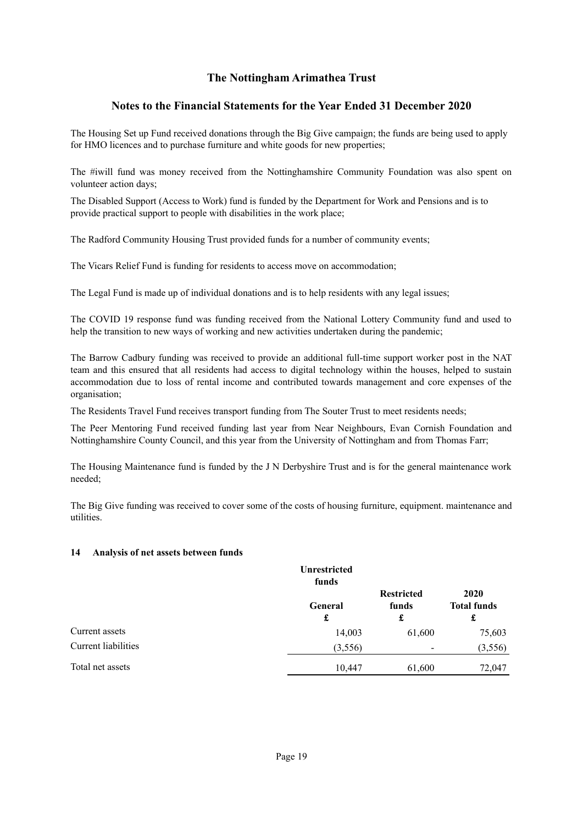## **Notes to the Financial Statements for the Year Ended 31 December 2020**

The Housing Set up Fund received donations through the Big Give campaign; the funds are being used to apply for HMO licences and to purchase furniture and white goods for new properties;

The #iwill fund was money received from the Nottinghamshire Community Foundation was also spent on volunteer action days;

The Disabled Support (Access to Work) fund is funded by the Department for Work and Pensions and is to provide practical support to people with disabilities in the work place;

The Radford Community Housing Trust provided funds for a number of community events;

The Vicars Relief Fund is funding for residents to access move on accommodation;

The Legal Fund is made up of individual donations and is to help residents with any legal issues;

The COVID 19 response fund was funding received from the National Lottery Community fund and used to help the transition to new ways of working and new activities undertaken during the pandemic;

The Barrow Cadbury funding was received to provide an additional full-time support worker post in the NAT team and this ensured that all residents had access to digital technology within the houses, helped to sustain accommodation due to loss of rental income and contributed towards management and core expenses of the organisation;

The Residents Travel Fund receives transport funding from The Souter Trust to meet residents needs;

The Peer Mentoring Fund received funding last year from Near Neighbours, Evan Cornish Foundation and Nottinghamshire County Council, and this year from the University of Nottingham and from Thomas Farr;

The Housing Maintenance fund is funded by the J N Derbyshire Trust and is for the general maintenance work needed;

The Big Give funding was received to cover some of the costs of housing furniture, equipment. maintenance and utilities.

#### **14 Analysis of net assets between funds**

|                     | Unrestricted<br>funds |                                 |                                 |
|---------------------|-----------------------|---------------------------------|---------------------------------|
|                     | <b>General</b><br>£   | <b>Restricted</b><br>funds<br>£ | 2020<br><b>Total funds</b><br>£ |
| Current assets      | 14,003                | 61,600                          | 75,603                          |
| Current liabilities | (3,556)               | $\overline{\phantom{a}}$        | (3,556)                         |
| Total net assets    | 10,447                | 61,600                          | 72,047                          |